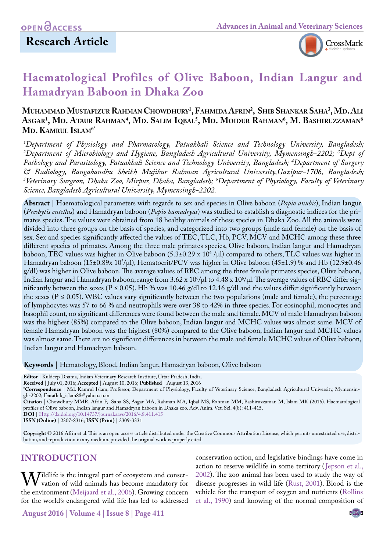

# **Haematological Profiles of Olive Baboon, Indian Langur and Hamadryan Baboon in Dhaka Zoo**

## **Muhammad Mustafizur Rahman Chowdhury1 , Fahmida Afrin2 , Shib Shankar Saha3 , Md. Ali**  $\mathbf{A}\mathbf{s}\mathbf{G}\mathbf{A}\mathbf{R}^{\dagger}$ , **Md. R**ahman<sup>4</sup>, Md. Salim Iqbal<sup>5</sup>, Md. Moidur Rahman<sup>6</sup>, M. Bashiruzzaman<sup>6</sup> **Md. Kamrul Islam6\***

*1 Department of Physiology and Pharmacology, Patuakhali Science and Technology University, Bangladesh;*  <sup>2</sup>Department of Microbiology and Hygiene, Bangladesh Agricultural University, Mymensingh–2202; <sup>3</sup>Dept of *Pathology and Parasitology, Patuakhali Science and Technology University, Bangladesh; 4 Department of Surgery & Radiology, Bangabandhu Sheikh Mujibur Rahman Agricultural University,Gazipur-1706, Bangladesh; 5 Veterinary Surgeon, Dhaka Zoo, Mirpur, Dhaka, Bangladesh; 6 Department of Physiology, Faculty of Veterinary Science, Bangladesh Agricultural University, Mymensingh-2202.*

**Abstract** | Haematological parameters with regards to sex and species in Olive baboon (*Papio anubis*), Indian langur (*Presbytis entellus*) and Hamadryan baboon (*Papio hamadryas*) was studied to establish a diagnostic indices for the primates species. The values were obtained from 18 healthy animals of these species in Dhaka Zoo. All the animals were divided into three groups on the basis of species, and categorized into two groups (male and female) on the basis of sex. Sex and species significantly affected the values of TEC, TLC, Hb, PCV, MCV and MCHC among these three different species of primates. Among the three male primates species, Olive baboon, Indian langur and Hamadryan baboon, TEC values was higher in Olive baboon (5.3±0.29 x 10° /µl) compared to others, TLC values was higher in Hamadryan baboon (15±0.89x 103 /µl), Hematocrit/PCV was higher in Olive baboon (45±1.9) % and Hb (12.9±0.46 g/dl) was higher in Olive baboon. The average values of RBC among the three female primates species, Olive baboon, Indian langur and Hamadryan baboon, range from 3.62 x 10°/µl to 4.48 x 10°/µl. The average values of RBC differ significantly between the sexes ( $P \le 0.05$ ). Hb % was 10.46 g/dl to 12.16 g/dl and the values differ significantly between the sexes ( $P \le 0.05$ ). WBC values vary significantly between the two populations (male and female), the percentage of lymphocytes was 57 to 66 % and neutrophils were over 38 to 42% in three species. For eosinophil, monocytes and basophil count, no significant differences were found between the male and female. MCV of male Hamadryan baboon was the highest (85%) compared to the Olive baboon, Indian langur and MCHC values was almost same. MCV of female Hamadryan baboon was the highest (80%) compared to the Olive baboon, Indian langur and MCHC values was almost same. There are no significant differences in between the male and female MCHC values of Olive baboon, Indian langur and Hamadryan baboon.

**Keywords** | Hematology, Blood, Indian langur, Hamadryan baboon, Olive baboon

**Editor** | Kuldeep Dhama, Indian Veterinary Research Institute, Uttar Pradesh, India.

**Received** | July 01, 2016; **Accepted** | August 10, 2016; **Published** | August 13, 2016

**\*Correspondence** | Md. Kamrul Islam, Professor, Department of Physiology, Faculty of Veterinary Science, Bangladesh Agricultural University, Mymensingh-2202; **Email:** k\_islam88@yahoo.co.in

**Citation** | Chowdhury MMR, Afrin F, Saha SS, Asgar MA, Rahman MA, Iqbal MS, Rahman MM, Bashiruzzaman M, Islam MK (2016). Haematological profiles of Olive baboon, Indian langur and Hamadryan baboon in Dhaka zoo. Adv. Anim. Vet. Sci. 4(8): 411-415.

**DOI** | <Http://dx.doi.org/10.14737/journal.aavs/2016/4.8.411.415>

**ISSN (Online)** | 2307-8316; **ISSN (Print)** | 2309-3331

**Copyright** © 2016 Afrin et al. This is an open access article distributed under the Creative Commons Attribution License, which permits unrestricted use, distribution, and reproduction in any medium, provided the original work is properly cited.

## **INTRODUCTION**

 $\rm W$ ildlife is the integral part of ecosystem and conser- $\bf{V}$  vation of wild animals has become mandatory for the environment ([Meijaard et al., 2006\)](#page-4-0). Growing concern for the world's endangered wild life has led to addressed conservation action, and legislative bindings have come in action to reserve wildlife in some territory ([Jepson et al.,](#page-3-0) [2002\)](#page-3-0). The zoo animal has been used to study the way of disease progresses in wild life ([Rust, 2001\)](#page-4-1). Blood is the vehicle for the transport of oxygen and nutrients ([Rollins](#page-4-2) [et al., 1990](#page-4-2)) and knowing of the normal composition of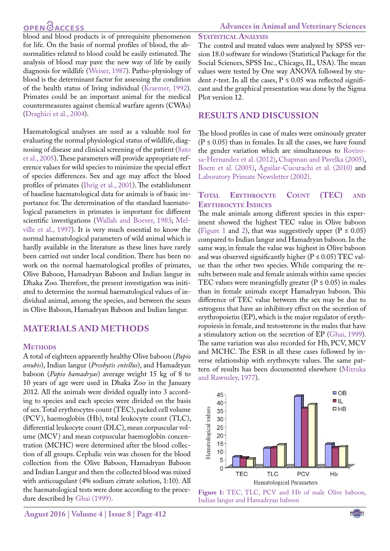## **OPEN**<sub>d</sub>

blood and blood products is of prerequisite phenomenon for life. On the basis of normal profiles of blood, the abnormalities related to blood could be easily estimated. The analysis of blood may pave the new way of life by easily diagnosis for wildlife ([Weiser, 1987\)](#page-4-3). Patho-physiology of blood is the determinant factor for assessing the condition of the health status of living individual ([Kraemer, 1992\)](#page-4-4). Primates could be an important animal for the medical countermeasures against chemical warfare agents (CWAs) ([Draghici et al., 2004](#page-3-1)).

Haematological analyses are used as a valuable tool for evaluating the normal physiological status of wildlife, diagnosing of disease and clinical screening of the patient [\(Sato](#page-4-5) [et al., 2005\)](#page-4-5). These parameters will provide appropriate reference values for wild species to minimize the special effect of species differences. Sex and age may affect the blood profiles of primates ([Ihrig et al., 2001](#page-3-2)). The establishment of baseline haematological data for animals is of basic importance for. The determination of the standard haematological parameters in primates is important for different scientific investigations ([Wallah and Boever, 1983;](#page-4-6) [Mel](#page-4-7)[ville et al., 1997\)](#page-4-7). It is very much essential to know the normal haematological parameters of wild animal which is hardly available in the literature as these lines have rarely been carried out under local condition. There has been no work on the normal haematological profiles of primates, Olive Baboon, Hamadryan Baboon and Indian langur in Dhaka Zoo. Therefore, the present investigation was initiated to determine the normal haematological values of individual animal, among the species, and between the sexes in Olive Baboon, Hamadryan Baboon and Indian langur.

## **MATERIALS AND METHODS**

### **Methods**

A total of eighteen apparently healthy Olive baboon (*Papio anubis*), Indian langur (*Presbytis entellus*), and Hamadryan baboon (*Papio hamadryas*) average weight 15 kg of 8 to 10 years of age were used in Dhaka Zoo in the January 2012. All the animals were divided equally into 3 according to species and each species were divided on the basis of sex. Total erythrocytes count (TEC), packed cell volume (PCV), haemoglobin (Hb), total leukocyte count (TLC), differential leukocyte count (DLC), mean corpuscular volume (MCV) and mean corpuscular haemoglobin concentration (MCHC) were determined after the blood collection of all groups. Cephalic vein was chosen for the blood collection from the Olive Baboon, Hamadryan Baboon and Indian Langur and then the collected blood was mixed with anticoagulant (4% sodium citrate solution, 1:10). All the haematological tests were done according to the procedure described by [Ghai \(1999\).](#page-3-3)

#### **STATISTICAL ANALYSIS**

The control and treated values were analyzed by SPSS version 18.0 software for windows (Statistical Package for the Social Sciences, SPSS Inc., Chicago, IL, USA). The mean values were tested by One way ANOVA followed by student *t*-test. In all the cases,  $P \le 0.05$  was reflected significant and the graphical presentation was done by the Sigma Plot version 12.

## **RESULTS AND DISCUSSION**

The blood profiles in case of males were ominously greater  $(P \le 0.05)$  than in females. In all the cases, we have found the gender variation which are simultaneous to Rovirosa-Hernandez et al. (2012), [Chapman and Pavelka \(2005\),](#page-3-4) [Boere et al. \(2005\)](#page-3-5), Aguilar-Cucurachi et al. (2010) and [Laboratory Primate Newsletter \(2002\).](#page-4-8)

### **Total Erythrocyte Count (TEC) and Erythrocyte Indices**

The male animals among different species in this experiment showed the highest TEC value in Olive baboon [\(Figure 1](#page-1-0) and [2\)](#page-2-0), that was suggestively upper ( $P \le 0.05$ ) compared to Indian langur and Hamadryan baboon. In the same way, in female the value was highest in Olive baboon and was observed significantly higher ( $P \le 0.05$ ) TEC value than the other two species. While comparing the results between male and female animals within same species TEC values were meaningfully greater ( $P \le 0.05$ ) in males than in female animals except Hamadryan baboon. This difference of TEC value between the sex may be due to estrogens that have an inhibitory effect on the secretion of erythropoietin (EP), which is the major regulator of erythropoiesis in female, and testosterone in the males that have a stimulatory action on the secretion of EP ([Ghai, 1999\)](#page-3-3). The same variation was also recorded for Hb, PCV, MCV and MCHC. The ESR in all these cases followed by inverse relationship with erythrocyte values. The same pattern of results has been documented elsewhere ([Mitruka](#page-4-9)  [and Rawnsley, 1977\)](#page-4-9).



<span id="page-1-0"></span>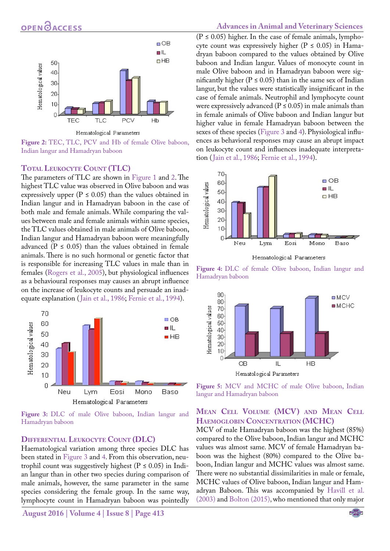

Hematological Parameters

<span id="page-2-0"></span>Figure 2: TEC, TLC, PCV and Hb of female Olive baboon, Indian langur and Hamadryan baboon

#### **Total Leukocyte Count (TLC)**

The parameters of TLC are shown in [Figure 1](#page-1-0) and [2](#page-2-0). The highest TLC value was observed in Olive baboon and was expressively upper ( $P \le 0.05$ ) than the values obtained in Indian langur and in Hamadryan baboon in the case of both male and female animals. While comparing the values between male and female animals within same species, the TLC values obtained in male animals of Olive baboon, Indian langur and Hamadryan baboon were meaningfully advanced ( $P \le 0.05$ ) than the values obtained in female animals. There is no such hormonal or genetic factor that is responsible for increasing TLC values in male than in females ([Rogers et al., 2005](#page-4-10)), but physiological influences as a behavioural responses may causes an abrupt influence on the increase of leukocyte counts and persuade an inadequate explanation ([Jain et al., 1986;](#page-3-6) [Fernie et al., 1994\)](#page-3-7).



<span id="page-2-1"></span>**Figure 3:** DLC of male Olive baboon, Indian langur and Hamadryan baboon

#### **Differential Leukocyte Count (DLC)**

Haematological variation among three species DLC has been stated in [Figure 3](#page-2-1) and [4](#page-2-2). From this observation, neutrophil count was suggestively highest ( $P \le 0.05$ ) in Indian langur than in other two species during comparison of male animals, however, the same parameter in the same species considering the female group. In the same way, lymphocyte count in Hamadryan baboon was pointedly

**August 2016 | Volume 4 | Issue 8 | Page 413**

#### **Advances in Animal and Veterinary Sciences**

 $(P \le 0.05)$  higher. In the case of female animals, lymphocyte count was expressively higher ( $P \le 0.05$ ) in Hamadryan baboon compared to the values obtained by Olive baboon and Indian langur. Values of monocyte count in male Olive baboon and in Hamadryan baboon were significantly higher ( $P \le 0.05$ ) than in the same sex of Indian langur, but the values were statistically insignificant in the case of female animals. Neutrophil and lymphocyte count were expressively advanced ( $P \le 0.05$ ) in male animals than in female animals of Olive baboon and Indian langur but higher value in female Hamadryan baboon between the sexes of these species [\(Figure 3](#page-2-1) and [4](#page-2-2)). Physiological influences as behavioral responses may cause an abrupt impact on leukocyte count and influences inadequate interpretation ([Jain et al., 1986](#page-3-6); [Fernie et al., 1994\)](#page-3-7).



Hematological Parameters

<span id="page-2-2"></span>**Figure 4:** DLC of female Olive baboon, Indian langur and Hamadryan baboon



<span id="page-2-3"></span>**Figure 5:** MCV and MCHC of male Olive baboon, Indian langur and Hamadryan baboon

### **Mean Cell Volume (MCV) and Mean Cell Haemoglobin Concentration (MCHC)**

MCV of male Hamadryan baboon was the highest (85%) compared to the Olive baboon, Indian langur and MCHC values was almost same. MCV of female Hamadryan baboon was the highest (80%) compared to the Olive baboon, Indian langur and MCHC values was almost same. There were no substantial dissimilarities in male or female, MCHC values of Olive baboon, Indian langur and Hamadryan Baboon. This was accompanied by [Havill et al.](#page-3-8)  [\(2003\)](#page-3-8) and [Bolton \(2015\)](#page-3-9), who mentioned that only major

NE**X**US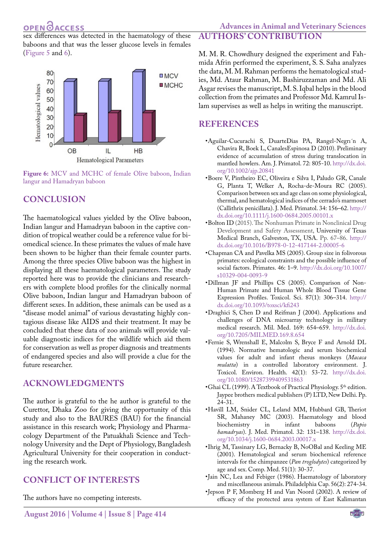sex differences was detected in the haematology of these baboons and that was the lesser glucose levels in females ([Figure 5](#page-2-3) and [6\)](#page-3-10).



<span id="page-3-10"></span>**Figure 6:** MCV and MCHC of female Olive baboon, Indian langur and Hamadryan baboon

## **CONCLUSION**

The haematological values yielded by the Olive baboon, Indian langur and Hamadryan baboon in the captive condition of tropical weather could be a reference value for biomedical science. In these primates the values of male have been shown to be higher than their female counter parts. Among the three species Olive baboon was the highest in displaying all these haematological parameters. The study reported here was to provide the clinicians and researchers with complete blood profiles for the clinically normal Olive baboon, Indian langur and Hamadryan baboon of different sexes. In addition, these animals can be used as a "disease model animal" of various devastating highly contagious disease like AIDS and their treatment. It may be concluded that these data of zoo animals will provide valuable diagnostic indices for the wildlife which aid them for conservation as well as proper diagnosis and treatments of endangered species and also will provide a clue for the future researcher.

## **ACKNOWLEDGMENTS**

The author is grateful to the he author is grateful to the Curettor, Dhaka Zoo for giving the opportunity of this study and also to the BAURES (BAU) for the financial assistance in this research work; Physiology and Pharmacology Department of the Patuakhali Science and Technology University and the Dept of Physiology, Bangladesh Agricultural University for their cooperation in conducting the research work.

## **CONFLICT OF INTERESTS**

The authors have no competing interests.

M. M. R. Chowdhury designed the experiment and Fahmida Afrin performed the experiment, S. S. Saha analyzes the data, M. M. Rahman performs the hematological studies, Md. Ataur Rahman, M. Bashiruzzaman and Md. Ali Asgar revises the manuscript, M. S. Iqbal helps in the blood collection from the primates and Professor Md. Kamrul Islam supervises as well as helps in writing the manuscript.

**AUTHORS' CONTRIBUTION**

## **REFERENCES**

- •Aguilar-Cucurachi S, DuarteDias PA, Rangel-Negrı´n A, Chavira R, Boek L, CanalesEspinosa D (2010). Preliminary evidence of accumulation of stress during translocation in mantled howlers. Am. J. Primatol. 72: 805-10. [http://dx.doi.](http://dx.doi.org/10.1002/ajp.20841) [org/10.1002/ajp.20841](http://dx.doi.org/10.1002/ajp.20841)
- <span id="page-3-5"></span>•Boere V, Pintheiro EC, Oliveira e Silva I, Paludo GR, Canale G, Planta T, Welker A, Rocha-de-Moura RC (2005). Comparison between sex and age class on some physiological, thermal, and hematological indices of the cerrado's marmoset (Callithrix penicillata). J. Med. Primatol. 34: 156–62. [http://](http://dx.doi.org/10.1111/j.1600-0684.2005.00101.x) [dx.doi.org/10.1111/j.1600-0684.2005.00101.x](http://dx.doi.org/10.1111/j.1600-0684.2005.00101.x)
- <span id="page-3-9"></span>•Bolton ID (2015). The Nonhuman Primate in Nonclinical Drug Development and Safety Assessment, University of Texas Medical Branch, Galveston, TX, USA. Pp. 67–86. [http://](http://dx.doi.org/10.1016/B978-0-12-417144-2.00005-6) [dx.doi.org/10.1016/B978-0-12-417144-2.00005-6](http://dx.doi.org/10.1016/B978-0-12-417144-2.00005-6)
- <span id="page-3-4"></span>•Chapman CA and Pavelka MS (2005). Group size in folivorous primates: ecological constraints and the possible influence of social factors. Primates. 46: 1–9. [http://dx.doi.org/10.1007/](http://dx.doi.org/10.1007/s10329-004-0093-9) [s10329-004-0093-9](http://dx.doi.org/10.1007/s10329-004-0093-9)
- •Dillman JF and Phillips CS (2005). Comparison of Non-Human Primate and Human Whole Blood Tissue Gene Expression Profiles. Toxicol. Sci. 87(1): 306–314. [http://](http://dx.doi.org/10.1093/toxsci/kfi243) [dx.doi.org/10.1093/toxsci/kfi243](http://dx.doi.org/10.1093/toxsci/kfi243)
- <span id="page-3-1"></span>•Draghici S, Chen D and Reifman J (2004). Applications and challenges of DNA microarray technology in military medical research. Mil. Med. 169: 654–659. [http://dx.doi.](http://dx.doi.org/10.7205/MILMED.169.8.654) [org/10.7205/MILMED.169.8.654](http://dx.doi.org/10.7205/MILMED.169.8.654)
- <span id="page-3-7"></span>•Fernie S, Wrenshall E, Malcolm S, Bryce F and Arnold DL (1994). Normative hematologic and serum biochemical values for adult and infant rhesus monkeys (*Macaca mulatta*) in a controlled laboratory environment. J. Toxicol. Environ. Health. 42(1): 53-72. [http://dx.doi.](http://dx.doi.org/10.1080/15287399409531863) [org/10.1080/15287399409531863](http://dx.doi.org/10.1080/15287399409531863)
- <span id="page-3-3"></span>•Ghai CL (1999). A Textbook of Practical Physiology. 5<sup>th</sup> edition. Jaypee brothers medical publishers (P) LTD, New Delhi. Pp. 24-31.
- <span id="page-3-8"></span>•Havill LM, Snider CL, Leland MM, Hubbard GB, Theriot SR, Mahaney MC (2003). Haematology and blood biochemistry *hamadryas*). J. Med. Primatol. 32: 131–138. [http://dx.doi.](http://dx.doi.org/10.1034/j.1600-0684.2003.00017.x) [org/10.1034/j.1600-0684.2003.00017.x](http://dx.doi.org/10.1034/j.1600-0684.2003.00017.x)
- <span id="page-3-2"></span>•Ihrig M, Tassinary LG, Bernacky B, NoOBal and Keeling ME (2001). Hematological and serum biochemical reference intervals for the chimpanzee (*Pan troglodytes*) categorized by age and sex. Comp. Med. 51(1): 30-37.
- <span id="page-3-6"></span>•Jain NC, Lea and Febiger (1986). Haematology of laboratory and miscellaneous animals. Philadelphia Cap. 56(2): 274-34.
- <span id="page-3-0"></span>•Jepson P F, Momberg H and Van Noord (2002). A review of efficacy of the protected area system of East Kalimantan